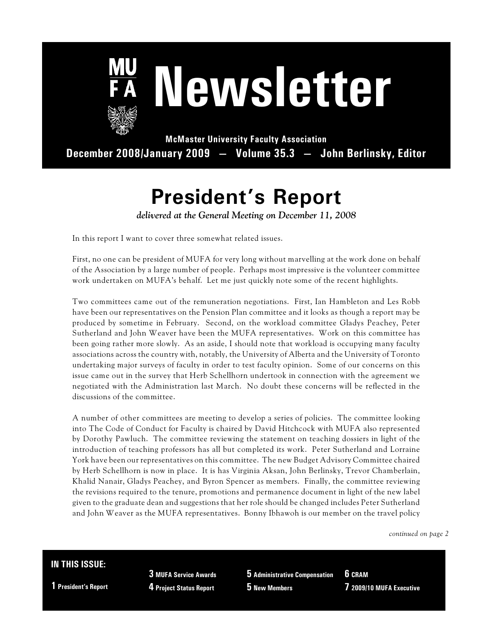

# **Newsletter**

**McMaster University Faculty Association December 2008/January 2009 — Volume 35.3 — John Berlinsky, Editor**

# **President's Report**

*delivered at the General Meeting on December 11, 2008*

In this report I want to cover three somewhat related issues.

First, no one can be president of MUFA for very long without marvelling at the work done on behalf of the Association by a large number of people. Perhaps most impressive is the volunteer committee work undertaken on MUFA's behalf. Let me just quickly note some of the recent highlights.

Two committees came out of the remuneration negotiations. First, Ian Hambleton and Les Robb have been our representatives on the Pension Plan committee and it looks as though a report may be produced by sometime in February. Second, on the workload committee Gladys Peachey, Peter Sutherland and John Weaver have been the MUFA representatives. Work on this committee has been going rather more slowly. As an aside, I should note that workload is occupying many faculty associations across the country with, notably, the University of Alberta and the University of Toronto undertaking major surveys of faculty in order to test faculty opinion. Some of our concerns on this issue came out in the survey that Herb Schellhorn undertook in connection with the agreement we negotiated with the Administration last March. No doubt these concerns will be reflected in the discussions of the committee.

A number of other committees are meeting to develop a series of policies. The committee looking into The Code of Conduct for Faculty is chaired by David Hitchcock with MUFA also represented by Dorothy Pawluch. The committee reviewing the statement on teaching dossiers in light of the introduction of teaching professors has all but completed its work. Peter Sutherland and Lorraine York have been our representatives on this committee. The new Budget Advisory Committee chaired by Herb Schellhorn is now in place. It is has Virginia Aksan, John Berlinsky, Trevor Chamberlain, Khalid Nanair, Gladys Peachey, and Byron Spencer as members. Finally, the committee reviewing the revisions required to the tenure, promotions and permanence document in light of the new label given to the graduate dean and suggestions that her role should be changed includes Peter Sutherland and John Weaver as the MUFA representatives. Bonny Ibhawoh is our member on the travel policy

*continued on page 2*

#### **IN THIS ISSUE:**

**1 President's Report**

**3 MUFA Service Awards 4 Project Status Report**

**5 Administrative Compensation 5 New Members**

**6 CRAM 7 2009/10 MUFA Executive**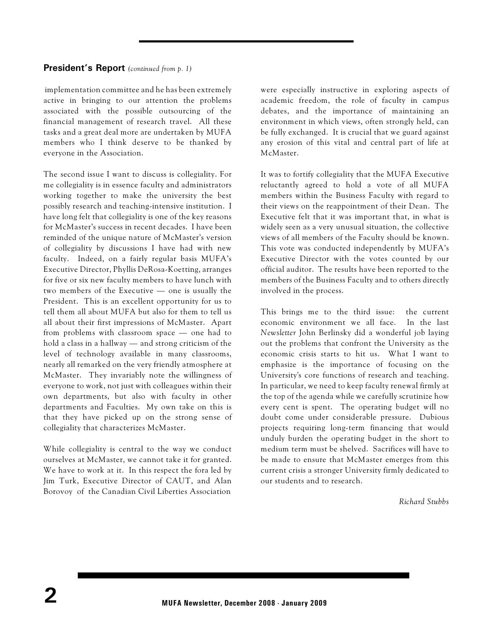#### **President's Report** *(continued from p. 1)*

implementation committee and he has been extremely active in bringing to our attention the problems associated with the possible outsourcing of the financial management of research travel. All these tasks and a great deal more are undertaken by MUFA members who I think deserve to be thanked by everyone in the Association.

The second issue I want to discuss is collegiality. For me collegiality is in essence faculty and administrators working together to make the university the best possibly research and teaching-intensive institution. I have long felt that collegiality is one of the key reasons for McMaster's success in recent decades. I have been reminded of the unique nature of McMaster's version of collegiality by discussions I have had with new faculty. Indeed, on a fairly regular basis MUFA's Executive Director, Phyllis DeRosa-Koetting, arranges for five or six new faculty members to have lunch with two members of the Executive — one is usually the President. This is an excellent opportunity for us to tell them all about MUFA but also for them to tell us all about their first impressions of McMaster. Apart from problems with classroom space — one had to hold a class in a hallway — and strong criticism of the level of technology available in many classrooms, nearly all remarked on the very friendly atmosphere at McMaster. They invariably note the willingness of everyone to work, not just with colleagues within their own departments, but also with faculty in other departments and Faculties. My own take on this is that they have picked up on the strong sense of collegiality that characterizes McMaster.

While collegiality is central to the way we conduct ourselves at McMaster, we cannot take it for granted. We have to work at it. In this respect the fora led by Jim Turk, Executive Director of CAUT, and Alan Borovoy of the Canadian Civil Liberties Association

were especially instructive in exploring aspects of academic freedom, the role of faculty in campus debates, and the importance of maintaining an environment in which views, often strongly held, can be fully exchanged. It is crucial that we guard against any erosion of this vital and central part of life at McMaster.

It was to fortify collegiality that the MUFA Executive reluctantly agreed to hold a vote of all MUFA members within the Business Faculty with regard to their views on the reappointment of their Dean. The Executive felt that it was important that, in what is widely seen as a very unusual situation, the collective views of all members of the Faculty should be known. This vote was conducted independently by MUFA's Executive Director with the votes counted by our official auditor. The results have been reported to the members of the Business Faculty and to others directly involved in the process.

This brings me to the third issue: the current economic environment we all face. In the last *Newsletter* John Berlinsky did a wonderful job laying out the problems that confront the University as the economic crisis starts to hit us. What I want to emphasize is the importance of focusing on the University's core functions of research and teaching. In particular, we need to keep faculty renewal firmly at the top of the agenda while we carefully scrutinize how every cent is spent. The operating budget will no doubt come under considerable pressure. Dubious projects requiring long-term financing that would unduly burden the operating budget in the short to medium term must be shelved. Sacrifices will have to be made to ensure that McMaster emerges from this current crisis a stronger University firmly dedicated to our students and to research.

*Richard Stubbs*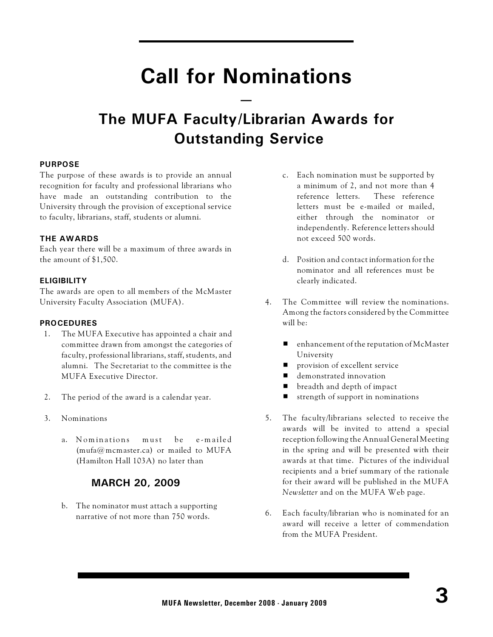# **Call for Nominations**

**—**

## **The MUFA Faculty/Librarian Awards for Outstanding Service**

#### **PURPOSE**

The purpose of these awards is to provide an annual recognition for faculty and professional librarians who have made an outstanding contribution to the University through the provision of exceptional service to faculty, librarians, staff, students or alumni.

#### **THE AWARDS**

Each year there will be a maximum of three awards in the amount of \$1,500.

#### **ELIGIBILITY**

The awards are open to all members of the McMaster University Faculty Association (MUFA).

#### **PROCEDURES**

- 1. The MUFA Executive has appointed a chair and committee drawn from amongst the categories of faculty, professional librarians, staff, students, and alumni. The Secretariat to the committee is the MUFA Executive Director.
- 2. The period of the award is a calendar year.
- 3. Nominations
	- a. Nominations must be e-mailed  $(mufa@mcmaster.ca)$  or mailed to MUFA (Hamilton Hall 103A) no later than

#### **MARCH 20, 2009**

b. The nominator must attach a supporting narrative of not more than 750 words.

- c. Each nomination must be supported by a minimum of 2, and not more than 4 reference letters. These reference letters must be e-mailed or mailed, either through the nominator or independently. Reference letters should not exceed 500 words.
- d. Position and contact information for the nominator and all references must be clearly indicated.
- 4. The Committee will review the nominations. Among the factors considered by the Committee will be:
	- $\blacksquare$  enhancement of the reputation of McMaster University
	- provision of excellent service
	- demonstrated innovation
	- breadth and depth of impact
	- $\blacksquare$  strength of support in nominations
- 5. The faculty/librarians selected to receive the awards will be invited to attend a special reception following the Annual General Meeting in the spring and will be presented with their awards at that time. Pictures of the individual recipients and a brief summary of the rationale for their award will be published in the MUFA *Newsletter* and on the MUFA Web page.
- 6. Each faculty/librarian who is nominated for an award will receive a letter of commendation from the MUFA President.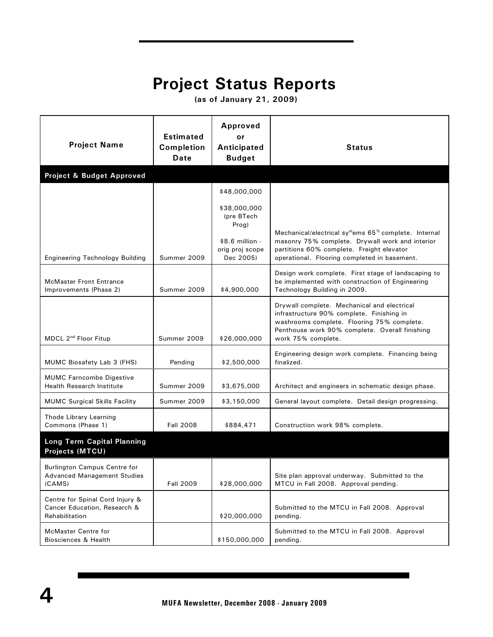## **Project Status Reports**

 **(as of January 21, 2009)**

|                                                                                   | <b>Estimated</b>                 | Approved<br>or                                   |                                                                                                                                                                                                                               |  |
|-----------------------------------------------------------------------------------|----------------------------------|--------------------------------------------------|-------------------------------------------------------------------------------------------------------------------------------------------------------------------------------------------------------------------------------|--|
| <b>Project Name</b>                                                               | <b>Completion</b><br><b>Date</b> | Anticipated<br><b>Budget</b>                     | Status                                                                                                                                                                                                                        |  |
| Project & Budget Approved                                                         |                                  |                                                  |                                                                                                                                                                                                                               |  |
|                                                                                   |                                  | \$48,000,000                                     |                                                                                                                                                                                                                               |  |
|                                                                                   |                                  | \$38,000,000<br>(pre BTech<br>Prog)              |                                                                                                                                                                                                                               |  |
| <b>Engineering Technology Building</b>                                            | Summer 2009                      | $$8.6$ million -<br>orig proj scope<br>Dec 2005) | Mechanical/electrical sy <sup>st</sup> ems 65 <sup>%</sup> complete. Internal<br>masonry 75% complete. Drywall work and interior<br>partitions 60% complete. Freight elevator<br>operational. Flooring completed in basement. |  |
| <b>McMaster Front Entrance</b><br>Improvements (Phase 2)                          | Summer 2009                      | \$4,900,000                                      | Design work complete. First stage of landscaping to<br>be implemented with construction of Engineering<br>Technology Building in 2009.                                                                                        |  |
| MDCL 2 <sup>nd</sup> Floor Fitup                                                  | Summer 2009                      | \$26,000,000                                     | Drywall complete. Mechanical and electrical<br>infrastructure 90% complete. Finishing in<br>washrooms complete. Flooring 75% complete.<br>Penthouse work 90% complete. Overall finishing<br>work 75% complete.                |  |
| MUMC Biosafety Lab 3 (FHS)                                                        | Pending                          | \$2,500,000                                      | Engineering design work complete. Financing being<br>finalized.                                                                                                                                                               |  |
| <b>MUMC Farncombe Digestive</b><br><b>Health Research Institute</b>               | Summer 2009                      | \$3,675,000                                      | Architect and engineers in schematic design phase.                                                                                                                                                                            |  |
| <b>MUMC Surgical Skills Facility</b>                                              | Summer 2009                      | \$3,150,000                                      | General layout complete. Detail design progressing.                                                                                                                                                                           |  |
| Thode Library Learning<br>Commons (Phase 1)                                       | <b>Fall 2008</b>                 | \$884,471                                        | Construction work 98% complete.                                                                                                                                                                                               |  |
| <b>Long Term Capital Planning</b><br><b>Projects (MTCU)</b>                       |                                  |                                                  |                                                                                                                                                                                                                               |  |
| <b>Burlington Campus Centre for</b><br>Advanced Management Studies<br>(CAMS)      | <b>Fall 2009</b>                 | \$28,000,000                                     | Site plan approval underway. Submitted to the<br>MTCU in Fall 2008. Approval pending.                                                                                                                                         |  |
| Centre for Spinal Cord Injury &<br>Cancer Education, Research &<br>Rehabilitation |                                  | \$20,000,000                                     | Submitted to the MTCU in Fall 2008. Approval<br>pending.                                                                                                                                                                      |  |
| <b>McMaster Centre for</b><br>Biosciences & Health                                |                                  | \$150,000,000                                    | Submitted to the MTCU in Fall 2008. Approval<br>pending.                                                                                                                                                                      |  |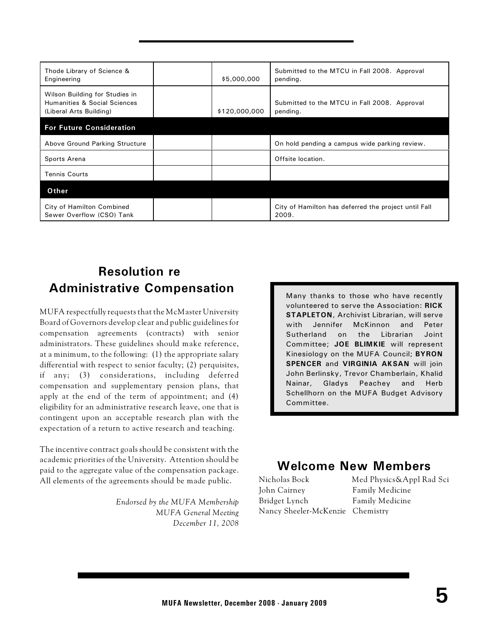| Thode Library of Science &<br>Engineering                                                            | \$5,000,000   | Submitted to the MTCU in Fall 2008. Approval<br>pending.      |
|------------------------------------------------------------------------------------------------------|---------------|---------------------------------------------------------------|
| Wilson Building for Studies in<br><b>Humanities &amp; Social Sciences</b><br>(Liberal Arts Building) | \$120,000,000 | Submitted to the MTCU in Fall 2008. Approval<br>pending.      |
| <b>For Future Consideration</b>                                                                      |               |                                                               |
| Above Ground Parking Structure                                                                       |               | On hold pending a campus wide parking review.                 |
| Sports Arena                                                                                         |               | Offsite location.                                             |
| <b>Tennis Courts</b>                                                                                 |               |                                                               |
| Other                                                                                                |               |                                                               |
| City of Hamilton Combined<br>Sewer Overflow (CSO) Tank                                               |               | City of Hamilton has deferred the project until Fall<br>2009. |

### **Resolution re Administrative Compensation**

MUFA respectfully requests that the McMaster University Board of Governors develop clear and public guidelines for compensation agreements (contracts) with senior administrators. These guidelines should make reference, at a minimum, to the following: (1) the appropriate salary differential with respect to senior faculty; (2) perquisites, if any; (3) considerations, including deferred compensation and supplementary pension plans, that apply at the end of the term of appointment; and (4) eligibility for an administrative research leave, one that is contingent upon an acceptable research plan with the expectation of a return to active research and teaching.

The incentive contract goals should be consistent with the academic priorities of the University. Attention should be paid to the aggregate value of the compensation package. All elements of the agreements should be made public.

> *Endorsed by the MUFA Membership MUFA General Meeting December 11, 2008*

Many thanks to those who have recently volunteered to serve the Association: **RICK STAPLETON**, Archivist Librarian, will serve with Jennifer McKinnon and Peter Sutherland on the Librarian Joint Committee; **JOE BLIMKIE** will represent Kinesiology on the MUFA Council; **BYRON SPENCER** and **VIRGINIA AKSAN** will join John Berlinsky, Trevor Chamberlain, Khalid Nainar, Gladys Peachey and Herb Schellhorn on the MUFA Budget Advisory Committee.

#### **Welcome New Members**

John Cairney Family Medicine Bridget Lynch Family Medicine Nancy Sheeler-McKenzie Chemistry

Nicholas Bock Med Physics&Appl Rad Sci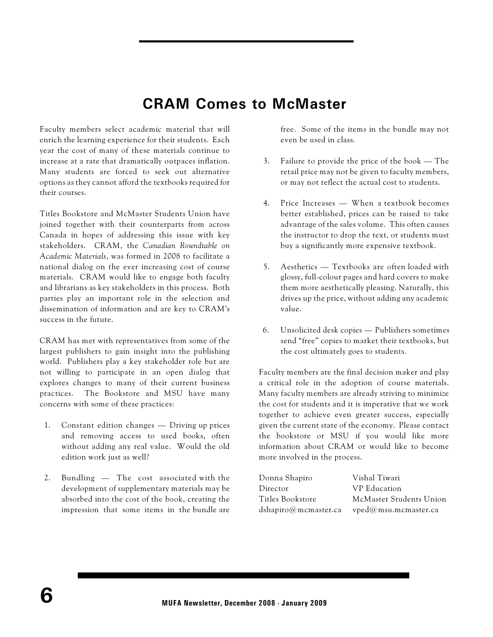## **CRAM Comes to McMaster**

Faculty members select academic material that will enrich the learning experience for their students. Each year the cost of many of these materials continue to increase at a rate that dramatically outpaces inflation. Many students are forced to seek out alternative options as they cannot afford the textbooks required for their courses.

Titles Bookstore and McMaster Students Union have joined together with their counterparts from across Canada in hopes of addressing this issue with key stakeholders. CRAM, the *Canadian Roundtable on Academic Materials*, was formed in 2008 to facilitate a national dialog on the ever increasing cost of course materials. CRAM would like to engage both faculty and librarians as key stakeholders in this process. Both parties play an important role in the selection and dissemination of information and are key to CRAM's success in the future.

CRAM has met with representatives from some of the largest publishers to gain insight into the publishing world. Publishers play a key stakeholder role but are not willing to participate in an open dialog that explores changes to many of their current business practices. The Bookstore and MSU have many concerns with some of these practices:

- 1. Constant edition changes Driving up prices and removing access to used books, often without adding any real value. Would the old edition work just as well?
- 2. Bundling The cost associated with the development of supplementary materials may be absorbed into the cost of the book, creating the impression that some items in the bundle are

free. Some of the items in the bundle may not even be used in class.

- 3. Failure to provide the price of the book The retail price may not be given to faculty members, or may not reflect the actual cost to students.
- 4. Price Increases When a textbook becomes better established, prices can be raised to take advantage of the sales volume. This often causes the instructor to drop the text, or students must buy a significantly more expensive textbook.
- 5. Aesthetics Textbooks are often loaded with glossy, full-colour pages and hard covers to make them more aesthetically pleasing. Naturally, this drives up the price, without adding any academic value.
- 6. Unsolicited desk copies Publishers sometimes send "free" copies to market their textbooks, but the cost ultimately goes to students.

Faculty members are the final decision maker and play a critical role in the adoption of course materials. Many faculty members are already striving to minimize the cost for students and it is imperative that we work together to achieve even greater success, especially given the current state of the economy. Please contact the bookstore or MSU if you would like more information about CRAM or would like to become more involved in the process.

| Vishal Tiwari           |
|-------------------------|
| VP Education            |
| McMaster Students Union |
| vped@msu.mcmaster.ca    |
|                         |